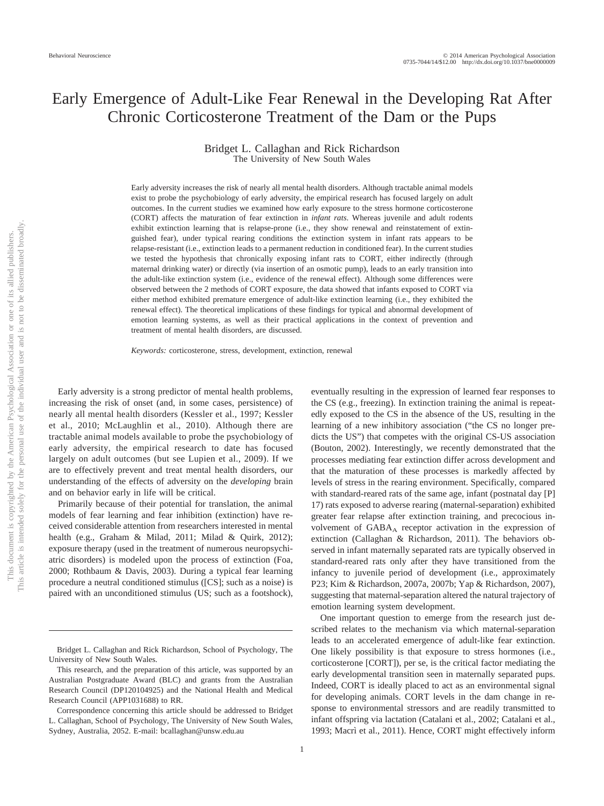# Early Emergence of Adult-Like Fear Renewal in the Developing Rat After Chronic Corticosterone Treatment of the Dam or the Pups

# Bridget L. Callaghan and Rick Richardson The University of New South Wales

Early adversity increases the risk of nearly all mental health disorders. Although tractable animal models exist to probe the psychobiology of early adversity, the empirical research has focused largely on adult outcomes. In the current studies we examined how early exposure to the stress hormone corticosterone (CORT) affects the maturation of fear extinction in *infant rats*. Whereas juvenile and adult rodents exhibit extinction learning that is relapse-prone (i.e., they show renewal and reinstatement of extinguished fear), under typical rearing conditions the extinction system in infant rats appears to be relapse-resistant (i.e., extinction leads to a permanent reduction in conditioned fear). In the current studies we tested the hypothesis that chronically exposing infant rats to CORT, either indirectly (through maternal drinking water) or directly (via insertion of an osmotic pump), leads to an early transition into the adult-like extinction system (i.e., evidence of the renewal effect). Although some differences were observed between the 2 methods of CORT exposure, the data showed that infants exposed to CORT via either method exhibited premature emergence of adult-like extinction learning (i.e., they exhibited the renewal effect). The theoretical implications of these findings for typical and abnormal development of emotion learning systems, as well as their practical applications in the context of prevention and treatment of mental health disorders, are discussed.

*Keywords:* corticosterone, stress, development, extinction, renewal

Early adversity is a strong predictor of mental health problems, increasing the risk of onset (and, in some cases, persistence) of nearly all mental health disorders (Kessler et al., 1997; Kessler et al., 2010; McLaughlin et al., 2010). Although there are tractable animal models available to probe the psychobiology of early adversity, the empirical research to date has focused largely on adult outcomes (but see Lupien et al., 2009). If we are to effectively prevent and treat mental health disorders, our understanding of the effects of adversity on the *developing* brain and on behavior early in life will be critical.

Primarily because of their potential for translation, the animal models of fear learning and fear inhibition (extinction) have received considerable attention from researchers interested in mental health (e.g., Graham & Milad, 2011; Milad & Quirk, 2012); exposure therapy (used in the treatment of numerous neuropsychiatric disorders) is modeled upon the process of extinction (Foa, 2000; Rothbaum & Davis, 2003). During a typical fear learning procedure a neutral conditioned stimulus ([CS]; such as a noise) is paired with an unconditioned stimulus (US; such as a footshock),

eventually resulting in the expression of learned fear responses to the CS (e.g., freezing). In extinction training the animal is repeatedly exposed to the CS in the absence of the US, resulting in the learning of a new inhibitory association ("the CS no longer predicts the US") that competes with the original CS-US association (Bouton, 2002). Interestingly, we recently demonstrated that the processes mediating fear extinction differ across development and that the maturation of these processes is markedly affected by levels of stress in the rearing environment. Specifically, compared with standard-reared rats of the same age, infant (postnatal day [P] 17) rats exposed to adverse rearing (maternal-separation) exhibited greater fear relapse after extinction training, and precocious involvement of  $GABA_A$  receptor activation in the expression of extinction (Callaghan & Richardson, 2011). The behaviors observed in infant maternally separated rats are typically observed in standard-reared rats only after they have transitioned from the infancy to juvenile period of development (i.e., approximately P23; Kim & Richardson, 2007a, 2007b; Yap & Richardson, 2007), suggesting that maternal-separation altered the natural trajectory of emotion learning system development.

One important question to emerge from the research just described relates to the mechanism via which maternal-separation leads to an accelerated emergence of adult-like fear extinction. One likely possibility is that exposure to stress hormones (i.e., corticosterone [CORT]), per se, is the critical factor mediating the early developmental transition seen in maternally separated pups. Indeed, CORT is ideally placed to act as an environmental signal for developing animals. CORT levels in the dam change in response to environmental stressors and are readily transmitted to infant offspring via lactation (Catalani et al., 2002; Catalani et al., 1993; Macrì et al., 2011). Hence, CORT might effectively inform

Bridget L. Callaghan and Rick Richardson, School of Psychology, The University of New South Wales.

This research, and the preparation of this article, was supported by an Australian Postgraduate Award (BLC) and grants from the Australian Research Council (DP120104925) and the National Health and Medical Research Council (APP1031688) to RR.

Correspondence concerning this article should be addressed to Bridget L. Callaghan, School of Psychology, The University of New South Wales, Sydney, Australia, 2052. E-mail: bcallaghan@unsw.edu.au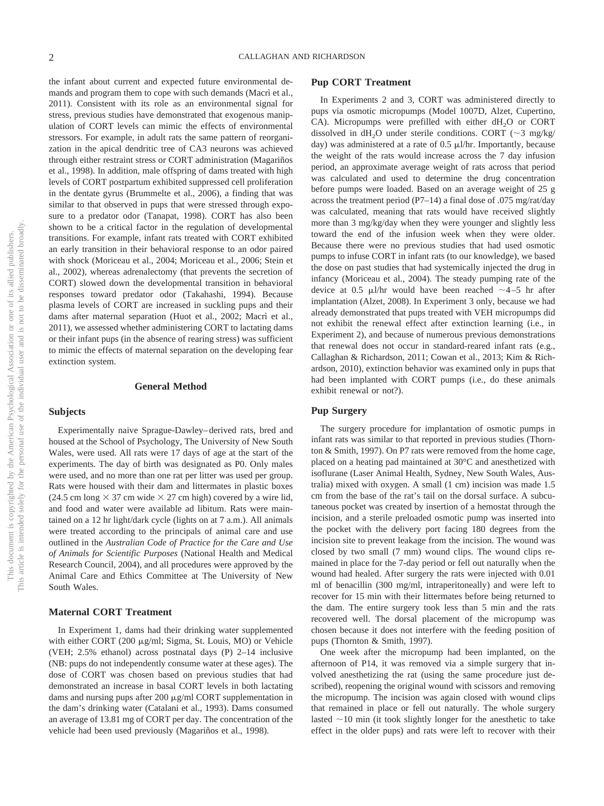the infant about current and expected future environmental demands and program them to cope with such demands (Macrì et al., 2011). Consistent with its role as an environmental signal for stress, previous studies have demonstrated that exogenous manipulation of CORT levels can mimic the effects of environmental stressors. For example, in adult rats the same pattern of reorganization in the apical dendritic tree of CA3 neurons was achieved through either restraint stress or CORT administration (Magariños et al., 1998). In addition, male offspring of dams treated with high levels of CORT postpartum exhibited suppressed cell proliferation in the dentate gyrus (Brummelte et al., 2006), a finding that was similar to that observed in pups that were stressed through exposure to a predator odor (Tanapat, 1998). CORT has also been shown to be a critical factor in the regulation of developmental transitions. For example, infant rats treated with CORT exhibited an early transition in their behavioral response to an odor paired with shock (Moriceau et al., 2004; Moriceau et al., 2006; Stein et al., 2002), whereas adrenalectomy (that prevents the secretion of CORT) slowed down the developmental transition in behavioral responses toward predator odor (Takahashi, 1994). Because plasma levels of CORT are increased in suckling pups and their dams after maternal separation (Huot et al., 2002; Macrì et al., 2011), we assessed whether administering CORT to lactating dams or their infant pups (in the absence of rearing stress) was sufficient to mimic the effects of maternal separation on the developing fear extinction system.

# **General Method**

# **Subjects**

Experimentally naive Sprague-Dawley– derived rats, bred and housed at the School of Psychology, The University of New South Wales, were used. All rats were 17 days of age at the start of the experiments. The day of birth was designated as P0. Only males were used, and no more than one rat per litter was used per group. Rats were housed with their dam and littermates in plastic boxes  $(24.5 \text{ cm long} \times 37 \text{ cm wide} \times 27 \text{ cm high})$  covered by a wire lid, and food and water were available ad libitum. Rats were maintained on a 12 hr light/dark cycle (lights on at 7 a.m.). All animals were treated according to the principals of animal care and use outlined in the *Australian Code of Practice for the Care and Use of Animals for Scientific Purposes* (National Health and Medical Research Council, 2004), and all procedures were approved by the Animal Care and Ethics Committee at The University of New South Wales.

# **Maternal CORT Treatment**

In Experiment 1, dams had their drinking water supplemented with either CORT (200  $\mu$ g/ml; Sigma, St. Louis, MO) or Vehicle (VEH; 2.5% ethanol) across postnatal days (P) 2–14 inclusive (NB: pups do not independently consume water at these ages). The dose of CORT was chosen based on previous studies that had demonstrated an increase in basal CORT levels in both lactating dams and nursing pups after 200  $\mu$ g/ml CORT supplementation in the dam's drinking water (Catalani et al., 1993). Dams consumed an average of 13.81 mg of CORT per day. The concentration of the vehicle had been used previously (Magariños et al., 1998).

# **Pup CORT Treatment**

In Experiments 2 and 3, CORT was administered directly to pups via osmotic micropumps (Model 1007D, Alzet, Cupertino, CA). Micropumps were prefilled with either  $dH_2O$  or CORT dissolved in dH<sub>2</sub>O under sterile conditions. CORT ( $\sim$ 3 mg/kg/ day) was administered at a rate of  $0.5 \mu$ l/hr. Importantly, because the weight of the rats would increase across the 7 day infusion period, an approximate average weight of rats across that period was calculated and used to determine the drug concentration before pumps were loaded. Based on an average weight of 25 g across the treatment period (P7–14) a final dose of .075 mg/rat/day was calculated, meaning that rats would have received slightly more than 3 mg/kg/day when they were younger and slightly less toward the end of the infusion week when they were older. Because there were no previous studies that had used osmotic pumps to infuse CORT in infant rats (to our knowledge), we based the dose on past studies that had systemically injected the drug in infancy (Moriceau et al., 2004). The steady pumping rate of the device at 0.5  $\mu$ l/hr would have been reached  $\sim$ 4-5 hr after implantation (Alzet, 2008). In Experiment 3 only, because we had already demonstrated that pups treated with VEH micropumps did not exhibit the renewal effect after extinction learning (i.e., in Experiment 2), and because of numerous previous demonstrations that renewal does not occur in standard-reared infant rats (e.g., Callaghan & Richardson, 2011; Cowan et al., 2013; Kim & Richardson, 2010), extinction behavior was examined only in pups that had been implanted with CORT pumps (i.e., do these animals exhibit renewal or not?).

#### **Pup Surgery**

The surgery procedure for implantation of osmotic pumps in infant rats was similar to that reported in previous studies (Thornton & Smith, 1997). On P7 rats were removed from the home cage, placed on a heating pad maintained at 30°C and anesthetized with isoflurane (Laser Animal Health, Sydney, New South Wales, Australia) mixed with oxygen. A small (1 cm) incision was made 1.5 cm from the base of the rat's tail on the dorsal surface. A subcutaneous pocket was created by insertion of a hemostat through the incision, and a sterile preloaded osmotic pump was inserted into the pocket with the delivery port facing 180 degrees from the incision site to prevent leakage from the incision. The wound was closed by two small (7 mm) wound clips. The wound clips remained in place for the 7-day period or fell out naturally when the wound had healed. After surgery the rats were injected with 0.01 ml of benacillin (300 mg/ml, intraperitoneally) and were left to recover for 15 min with their littermates before being returned to the dam. The entire surgery took less than 5 min and the rats recovered well. The dorsal placement of the micropump was chosen because it does not interfere with the feeding position of pups (Thornton & Smith, 1997).

One week after the micropump had been implanted, on the afternoon of P14, it was removed via a simple surgery that involved anesthetizing the rat (using the same procedure just described), reopening the original wound with scissors and removing the micropump. The incision was again closed with wound clips that remained in place or fell out naturally. The whole surgery lasted  $\sim$ 10 min (it took slightly longer for the anesthetic to take effect in the older pups) and rats were left to recover with their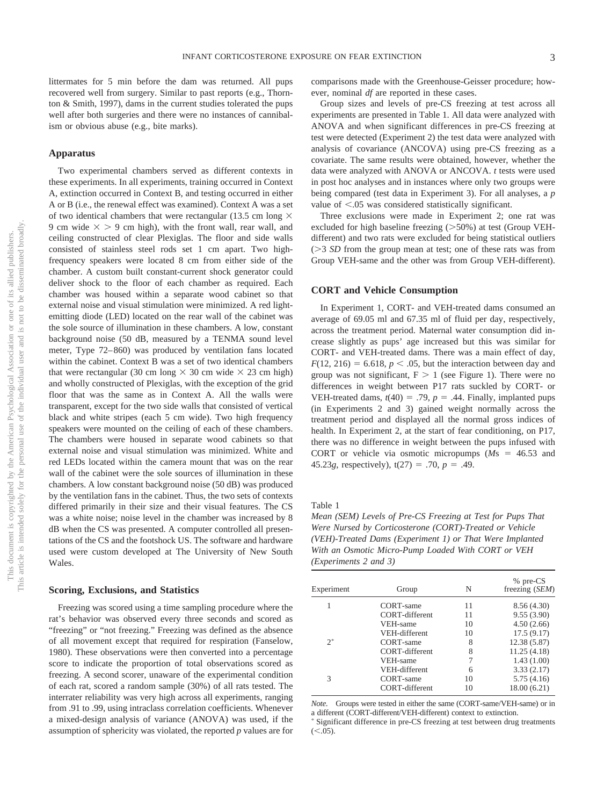littermates for 5 min before the dam was returned. All pups recovered well from surgery. Similar to past reports (e.g., Thornton & Smith, 1997), dams in the current studies tolerated the pups well after both surgeries and there were no instances of cannibalism or obvious abuse (e.g., bite marks).

#### **Apparatus**

Two experimental chambers served as different contexts in these experiments. In all experiments, training occurred in Context A, extinction occurred in Context B, and testing occurred in either A or B (i.e., the renewal effect was examined). Context A was a set of two identical chambers that were rectangular (13.5 cm long  $\times$ 9 cm wide  $\times$  > 9 cm high), with the front wall, rear wall, and ceiling constructed of clear Plexiglas. The floor and side walls consisted of stainless steel rods set 1 cm apart. Two highfrequency speakers were located 8 cm from either side of the chamber. A custom built constant-current shock generator could deliver shock to the floor of each chamber as required. Each chamber was housed within a separate wood cabinet so that external noise and visual stimulation were minimized. A red lightemitting diode (LED) located on the rear wall of the cabinet was the sole source of illumination in these chambers. A low, constant background noise (50 dB, measured by a TENMA sound level meter, Type 72– 860) was produced by ventilation fans located within the cabinet. Context B was a set of two identical chambers that were rectangular (30 cm long  $\times$  30 cm wide  $\times$  23 cm high) and wholly constructed of Plexiglas, with the exception of the grid floor that was the same as in Context A. All the walls were transparent, except for the two side walls that consisted of vertical black and white stripes (each 5 cm wide). Two high frequency speakers were mounted on the ceiling of each of these chambers. The chambers were housed in separate wood cabinets so that external noise and visual stimulation was minimized. White and red LEDs located within the camera mount that was on the rear wall of the cabinet were the sole sources of illumination in these chambers. A low constant background noise (50 dB) was produced by the ventilation fans in the cabinet. Thus, the two sets of contexts differed primarily in their size and their visual features. The CS was a white noise; noise level in the chamber was increased by 8 dB when the CS was presented. A computer controlled all presentations of the CS and the footshock US. The software and hardware used were custom developed at The University of New South Wales.

#### **Scoring, Exclusions, and Statistics**

Freezing was scored using a time sampling procedure where the rat's behavior was observed every three seconds and scored as "freezing" or "not freezing." Freezing was defined as the absence of all movement except that required for respiration (Fanselow, 1980). These observations were then converted into a percentage score to indicate the proportion of total observations scored as freezing. A second scorer, unaware of the experimental condition of each rat, scored a random sample (30%) of all rats tested. The interrater reliability was very high across all experiments, ranging from .91 to .99, using intraclass correlation coefficients. Whenever a mixed-design analysis of variance (ANOVA) was used, if the assumption of sphericity was violated, the reported *p* values are for

comparisons made with the Greenhouse-Geisser procedure; however, nominal *df* are reported in these cases.

Group sizes and levels of pre-CS freezing at test across all experiments are presented in Table 1. All data were analyzed with ANOVA and when significant differences in pre-CS freezing at test were detected (Experiment 2) the test data were analyzed with analysis of covariance (ANCOVA) using pre-CS freezing as a covariate. The same results were obtained, however, whether the data were analyzed with ANOVA or ANCOVA. *t* tests were used in post hoc analyses and in instances where only two groups were being compared (test data in Experiment 3). For all analyses, a *p* value of  $\leq$ .05 was considered statistically significant.

Three exclusions were made in Experiment 2; one rat was excluded for high baseline freezing  $(>50%)$  at test (Group VEHdifferent) and two rats were excluded for being statistical outliers ( $>$ 3 *SD* from the group mean at test; one of these rats was from Group VEH-same and the other was from Group VEH-different).

# **CORT and Vehicle Consumption**

In Experiment 1, CORT- and VEH-treated dams consumed an average of 69.05 ml and 67.35 ml of fluid per day, respectively, across the treatment period. Maternal water consumption did increase slightly as pups' age increased but this was similar for CORT- and VEH-treated dams. There was a main effect of day,  $F(12, 216) = 6.618$ ,  $p < .05$ , but the interaction between day and group was not significant,  $F > 1$  (see Figure 1). There were no differences in weight between P17 rats suckled by CORT- or VEH-treated dams,  $t(40) = .79$ ,  $p = .44$ . Finally, implanted pups (in Experiments 2 and 3) gained weight normally across the treatment period and displayed all the normal gross indices of health. In Experiment 2, at the start of fear conditioning, on P17, there was no difference in weight between the pups infused with CORT or vehicle via osmotic micropumps  $(Ms = 46.53$  and 45.23*g*, respectively),  $t(27) = .70$ ,  $p = .49$ .

Table 1

*Mean (SEM) Levels of Pre-CS Freezing at Test for Pups That Were Nursed by Corticosterone (CORT)-Treated or Vehicle (VEH)-Treated Dams (Experiment 1) or That Were Implanted With an Osmotic Micro-Pump Loaded With CORT or VEH (Experiments 2 and 3)*

| Experiment | Group          | N  | % pre-CS<br>freezing (SEM) |
|------------|----------------|----|----------------------------|
|            | CORT-same      | 11 | 8.56 (4.30)                |
|            | CORT-different | 11 | 9.55(3.90)                 |
|            | VEH-same       | 10 | 4.50(2.66)                 |
|            | VEH-different  | 10 | 17.5(9.17)                 |
| $2^*$      | CORT-same      | 8  | 12.38 (5.87)               |
|            | CORT-different | 8  | 11.25(4.18)                |
|            | VEH-same       |    | 1.43(1.00)                 |
|            | VEH-different  | 6  | 3.33(2.17)                 |
| 3          | CORT-same      | 10 | 5.75(4.16)                 |
|            | CORT-different | 10 | 18.00 (6.21)               |

Groups were tested in either the same (CORT-same/VEH-same) or in a different (CORT-different/VEH-different) context to extinction. - Significant difference in pre-CS freezing at test between drug treatments  $(<.05)$ .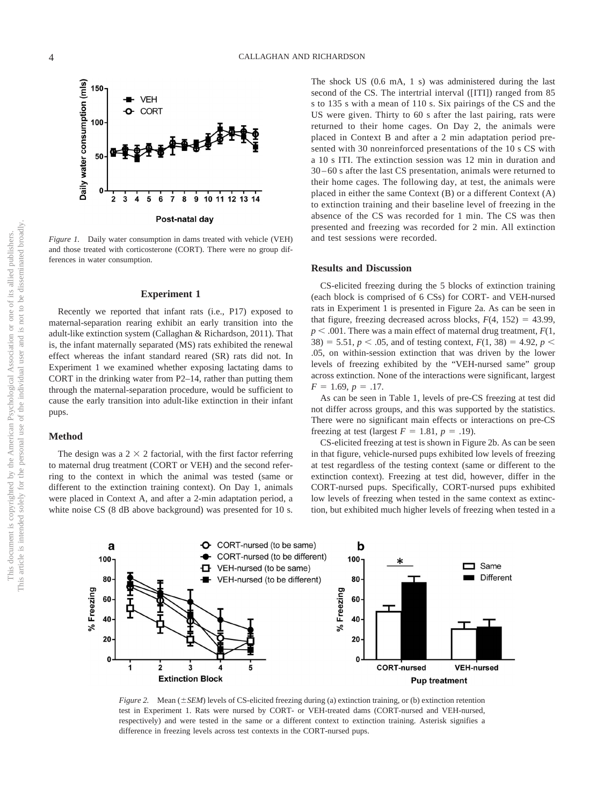

*Figure 1.* Daily water consumption in dams treated with vehicle (VEH) and those treated with corticosterone (CORT). There were no group differences in water consumption.

#### **Experiment 1**

Recently we reported that infant rats (i.e., P17) exposed to maternal-separation rearing exhibit an early transition into the adult-like extinction system (Callaghan & Richardson, 2011). That is, the infant maternally separated (MS) rats exhibited the renewal effect whereas the infant standard reared (SR) rats did not. In Experiment 1 we examined whether exposing lactating dams to CORT in the drinking water from P2–14, rather than putting them through the maternal-separation procedure, would be sufficient to cause the early transition into adult-like extinction in their infant pups.

#### **Method**

The design was a  $2 \times 2$  factorial, with the first factor referring to maternal drug treatment (CORT or VEH) and the second referring to the context in which the animal was tested (same or different to the extinction training context). On Day 1, animals were placed in Context A, and after a 2-min adaptation period, a white noise CS (8 dB above background) was presented for 10 s. The shock US (0.6 mA, 1 s) was administered during the last second of the CS. The intertrial interval ([ITI]) ranged from 85 s to 135 s with a mean of 110 s. Six pairings of the CS and the US were given. Thirty to 60 s after the last pairing, rats were returned to their home cages. On Day 2, the animals were placed in Context B and after a 2 min adaptation period presented with 30 nonreinforced presentations of the 10 s CS with a 10 s ITI. The extinction session was 12 min in duration and 30 – 60 s after the last CS presentation, animals were returned to their home cages. The following day, at test, the animals were placed in either the same Context (B) or a different Context (A) to extinction training and their baseline level of freezing in the absence of the CS was recorded for 1 min. The CS was then presented and freezing was recorded for 2 min. All extinction and test sessions were recorded.

### **Results and Discussion**

CS-elicited freezing during the 5 blocks of extinction training (each block is comprised of 6 CSs) for CORT- and VEH-nursed rats in Experiment 1 is presented in Figure 2a. As can be seen in that figure, freezing decreased across blocks,  $F(4, 152) = 43.99$ ,  $p < .001$ . There was a main effect of maternal drug treatment,  $F(1, 1)$ 38) = 5.51,  $p < .05$ , and of testing context,  $F(1, 38) = 4.92$ ,  $p <$ .05, on within-session extinction that was driven by the lower levels of freezing exhibited by the "VEH-nursed same" group across extinction. None of the interactions were significant, largest  $F = 1.69, p = .17.$ 

As can be seen in Table 1, levels of pre-CS freezing at test did not differ across groups, and this was supported by the statistics. There were no significant main effects or interactions on pre-CS freezing at test (largest  $F = 1.81$ ,  $p = .19$ ).

CS-elicited freezing at test is shown in Figure 2b. As can be seen in that figure, vehicle-nursed pups exhibited low levels of freezing at test regardless of the testing context (same or different to the extinction context). Freezing at test did, however, differ in the CORT-nursed pups. Specifically, CORT-nursed pups exhibited low levels of freezing when tested in the same context as extinction, but exhibited much higher levels of freezing when tested in a



*Figure 2.* Mean ( $\pm$  SEM) levels of CS-elicited freezing during (a) extinction training, or (b) extinction retention test in Experiment 1. Rats were nursed by CORT- or VEH-treated dams (CORT-nursed and VEH-nursed, respectively) and were tested in the same or a different context to extinction training. Asterisk signifies a difference in freezing levels across test contexts in the CORT-nursed pups.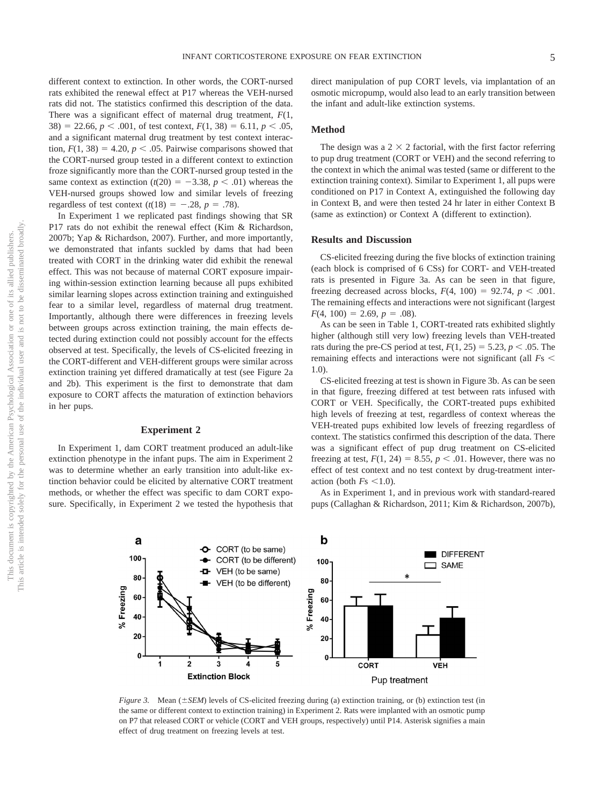different context to extinction. In other words, the CORT-nursed rats exhibited the renewal effect at P17 whereas the VEH-nursed rats did not. The statistics confirmed this description of the data. There was a significant effect of maternal drug treatment, *F*(1,  $38) = 22.66$ ,  $p < .001$ , of test context,  $F(1, 38) = 6.11$ ,  $p < .05$ , and a significant maternal drug treatment by test context interaction,  $F(1, 38) = 4.20$ ,  $p < .05$ . Pairwise comparisons showed that the CORT-nursed group tested in a different context to extinction froze significantly more than the CORT-nursed group tested in the same context as extinction  $(t(20) = -3.38, p < .01)$  whereas the VEH-nursed groups showed low and similar levels of freezing regardless of test context  $(t(18) = -.28, p = .78)$ .

In Experiment 1 we replicated past findings showing that SR P17 rats do not exhibit the renewal effect (Kim & Richardson, 2007b; Yap & Richardson, 2007). Further, and more importantly, we demonstrated that infants suckled by dams that had been treated with CORT in the drinking water did exhibit the renewal effect. This was not because of maternal CORT exposure impairing within-session extinction learning because all pups exhibited similar learning slopes across extinction training and extinguished fear to a similar level, regardless of maternal drug treatment. Importantly, although there were differences in freezing levels between groups across extinction training, the main effects detected during extinction could not possibly account for the effects observed at test. Specifically, the levels of CS-elicited freezing in the CORT-different and VEH-different groups were similar across extinction training yet differed dramatically at test (see Figure 2a and 2b). This experiment is the first to demonstrate that dam exposure to CORT affects the maturation of extinction behaviors in her pups.

# **Experiment 2**

In Experiment 1, dam CORT treatment produced an adult-like extinction phenotype in the infant pups. The aim in Experiment 2 was to determine whether an early transition into adult-like extinction behavior could be elicited by alternative CORT treatment methods, or whether the effect was specific to dam CORT exposure. Specifically, in Experiment 2 we tested the hypothesis that direct manipulation of pup CORT levels, via implantation of an osmotic micropump, would also lead to an early transition between the infant and adult-like extinction systems.

# **Method**

The design was a  $2 \times 2$  factorial, with the first factor referring to pup drug treatment (CORT or VEH) and the second referring to the context in which the animal was tested (same or different to the extinction training context). Similar to Experiment 1, all pups were conditioned on P17 in Context A, extinguished the following day in Context B, and were then tested 24 hr later in either Context B (same as extinction) or Context A (different to extinction).

# **Results and Discussion**

CS-elicited freezing during the five blocks of extinction training (each block is comprised of 6 CSs) for CORT- and VEH-treated rats is presented in Figure 3a. As can be seen in that figure, freezing decreased across blocks,  $F(4, 100) = 92.74$ ,  $p < .001$ . The remaining effects and interactions were not significant (largest  $F(4, 100) = 2.69, p = .08$ .

As can be seen in Table 1, CORT-treated rats exhibited slightly higher (although still very low) freezing levels than VEH-treated rats during the pre-CS period at test,  $F(1, 25) = 5.23$ ,  $p < .05$ . The remaining effects and interactions were not significant (all *F*s 1.0).

CS-elicited freezing at test is shown in Figure 3b. As can be seen in that figure, freezing differed at test between rats infused with CORT or VEH. Specifically, the CORT-treated pups exhibited high levels of freezing at test, regardless of context whereas the VEH-treated pups exhibited low levels of freezing regardless of context. The statistics confirmed this description of the data. There was a significant effect of pup drug treatment on CS-elicited freezing at test,  $F(1, 24) = 8.55$ ,  $p < .01$ . However, there was no effect of test context and no test context by drug-treatment interaction (both  $Fs \leq 1.0$ ).

As in Experiment 1, and in previous work with standard-reared pups (Callaghan & Richardson, 2011; Kim & Richardson, 2007b),



*Figure 3.* Mean  $(\pm SEM)$  levels of CS-elicited freezing during (a) extinction training, or (b) extinction test (in the same or different context to extinction training) in Experiment 2. Rats were implanted with an osmotic pump on P7 that released CORT or vehicle (CORT and VEH groups, respectively) until P14. Asterisk signifies a main effect of drug treatment on freezing levels at test.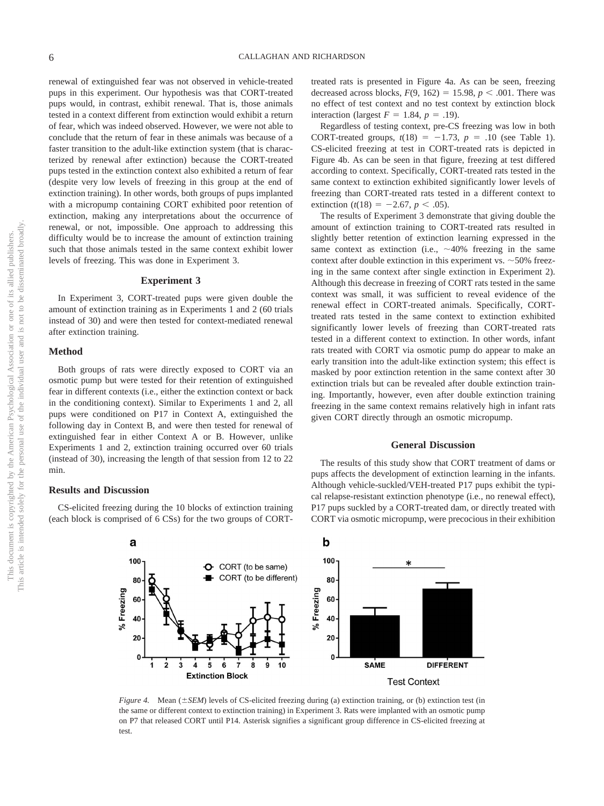renewal of extinguished fear was not observed in vehicle-treated pups in this experiment. Our hypothesis was that CORT-treated pups would, in contrast, exhibit renewal. That is, those animals tested in a context different from extinction would exhibit a return of fear, which was indeed observed. However, we were not able to conclude that the return of fear in these animals was because of a faster transition to the adult-like extinction system (that is characterized by renewal after extinction) because the CORT-treated pups tested in the extinction context also exhibited a return of fear (despite very low levels of freezing in this group at the end of extinction training). In other words, both groups of pups implanted with a micropump containing CORT exhibited poor retention of extinction, making any interpretations about the occurrence of renewal, or not, impossible. One approach to addressing this difficulty would be to increase the amount of extinction training such that those animals tested in the same context exhibit lower levels of freezing. This was done in Experiment 3.

# **Experiment 3**

In Experiment 3, CORT-treated pups were given double the amount of extinction training as in Experiments 1 and 2 (60 trials instead of 30) and were then tested for context-mediated renewal after extinction training.

# **Method**

Both groups of rats were directly exposed to CORT via an osmotic pump but were tested for their retention of extinguished fear in different contexts (i.e., either the extinction context or back in the conditioning context). Similar to Experiments 1 and 2, all pups were conditioned on P17 in Context A, extinguished the following day in Context B, and were then tested for renewal of extinguished fear in either Context A or B. However, unlike Experiments 1 and 2, extinction training occurred over 60 trials (instead of 30), increasing the length of that session from 12 to 22 min.

#### **Results and Discussion**

CS-elicited freezing during the 10 blocks of extinction training (each block is comprised of 6 CSs) for the two groups of CORT- treated rats is presented in Figure 4a. As can be seen, freezing decreased across blocks,  $F(9, 162) = 15.98$ ,  $p < .001$ . There was no effect of test context and no test context by extinction block interaction (largest  $F = 1.84$ ,  $p = .19$ ).

Regardless of testing context, pre-CS freezing was low in both CORT-treated groups,  $t(18) = -1.73$ ,  $p = .10$  (see Table 1). CS-elicited freezing at test in CORT-treated rats is depicted in Figure 4b. As can be seen in that figure, freezing at test differed according to context. Specifically, CORT-treated rats tested in the same context to extinction exhibited significantly lower levels of freezing than CORT-treated rats tested in a different context to extinction ( $t(18) = -2.67$ ,  $p < .05$ ).

The results of Experiment 3 demonstrate that giving double the amount of extinction training to CORT-treated rats resulted in slightly better retention of extinction learning expressed in the same context as extinction (i.e.,  $\sim$ 40% freezing in the same context after double extinction in this experiment vs.  $\sim$  50% freezing in the same context after single extinction in Experiment 2). Although this decrease in freezing of CORT rats tested in the same context was small, it was sufficient to reveal evidence of the renewal effect in CORT-treated animals. Specifically, CORTtreated rats tested in the same context to extinction exhibited significantly lower levels of freezing than CORT-treated rats tested in a different context to extinction. In other words, infant rats treated with CORT via osmotic pump do appear to make an early transition into the adult-like extinction system; this effect is masked by poor extinction retention in the same context after 30 extinction trials but can be revealed after double extinction training. Importantly, however, even after double extinction training freezing in the same context remains relatively high in infant rats given CORT directly through an osmotic micropump.

#### **General Discussion**

The results of this study show that CORT treatment of dams or pups affects the development of extinction learning in the infants. Although vehicle-suckled/VEH-treated P17 pups exhibit the typical relapse-resistant extinction phenotype (i.e., no renewal effect), P17 pups suckled by a CORT-treated dam, or directly treated with CORT via osmotic micropump, were precocious in their exhibition



*Figure 4.* Mean  $(\pm SEM)$  levels of CS-elicited freezing during (a) extinction training, or (b) extinction test (in the same or different context to extinction training) in Experiment 3. Rats were implanted with an osmotic pump on P7 that released CORT until P14. Asterisk signifies a significant group difference in CS-elicited freezing at test.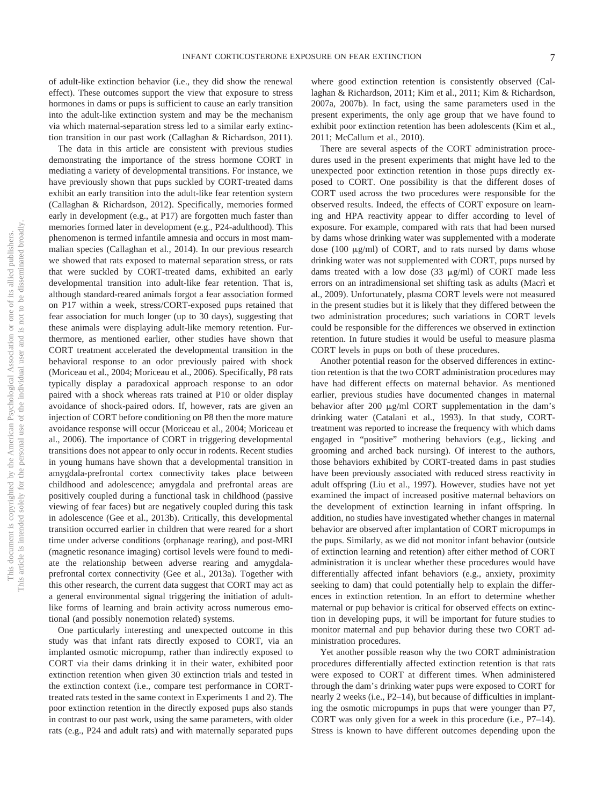of adult-like extinction behavior (i.e., they did show the renewal effect). These outcomes support the view that exposure to stress hormones in dams or pups is sufficient to cause an early transition into the adult-like extinction system and may be the mechanism via which maternal-separation stress led to a similar early extinction transition in our past work (Callaghan & Richardson, 2011).

The data in this article are consistent with previous studies demonstrating the importance of the stress hormone CORT in mediating a variety of developmental transitions. For instance, we have previously shown that pups suckled by CORT-treated dams exhibit an early transition into the adult-like fear retention system (Callaghan & Richardson, 2012). Specifically, memories formed early in development (e.g., at P17) are forgotten much faster than memories formed later in development (e.g., P24-adulthood). This phenomenon is termed infantile amnesia and occurs in most mammalian species (Callaghan et al., 2014). In our previous research we showed that rats exposed to maternal separation stress, or rats that were suckled by CORT-treated dams, exhibited an early developmental transition into adult-like fear retention. That is, although standard-reared animals forgot a fear association formed on P17 within a week, stress/CORT-exposed pups retained that fear association for much longer (up to 30 days), suggesting that these animals were displaying adult-like memory retention. Furthermore, as mentioned earlier, other studies have shown that CORT treatment accelerated the developmental transition in the behavioral response to an odor previously paired with shock (Moriceau et al., 2004; Moriceau et al., 2006). Specifically, P8 rats typically display a paradoxical approach response to an odor paired with a shock whereas rats trained at P10 or older display avoidance of shock-paired odors. If, however, rats are given an injection of CORT before conditioning on P8 then the more mature avoidance response will occur (Moriceau et al., 2004; Moriceau et al., 2006). The importance of CORT in triggering developmental transitions does not appear to only occur in rodents. Recent studies in young humans have shown that a developmental transition in amygdala-prefrontal cortex connectivity takes place between childhood and adolescence; amygdala and prefrontal areas are positively coupled during a functional task in childhood (passive viewing of fear faces) but are negatively coupled during this task in adolescence (Gee et al., 2013b). Critically, this developmental transition occurred earlier in children that were reared for a short time under adverse conditions (orphanage rearing), and post-MRI (magnetic resonance imaging) cortisol levels were found to mediate the relationship between adverse rearing and amygdalaprefrontal cortex connectivity (Gee et al., 2013a). Together with this other research, the current data suggest that CORT may act as a general environmental signal triggering the initiation of adultlike forms of learning and brain activity across numerous emotional (and possibly nonemotion related) systems.

One particularly interesting and unexpected outcome in this study was that infant rats directly exposed to CORT, via an implanted osmotic micropump, rather than indirectly exposed to CORT via their dams drinking it in their water, exhibited poor extinction retention when given 30 extinction trials and tested in the extinction context (i.e., compare test performance in CORTtreated rats tested in the same context in Experiments 1 and 2). The poor extinction retention in the directly exposed pups also stands in contrast to our past work, using the same parameters, with older rats (e.g., P24 and adult rats) and with maternally separated pups

where good extinction retention is consistently observed (Callaghan & Richardson, 2011; Kim et al., 2011; Kim & Richardson, 2007a, 2007b). In fact, using the same parameters used in the present experiments, the only age group that we have found to exhibit poor extinction retention has been adolescents (Kim et al., 2011; McCallum et al., 2010).

There are several aspects of the CORT administration procedures used in the present experiments that might have led to the unexpected poor extinction retention in those pups directly exposed to CORT. One possibility is that the different doses of CORT used across the two procedures were responsible for the observed results. Indeed, the effects of CORT exposure on learning and HPA reactivity appear to differ according to level of exposure. For example, compared with rats that had been nursed by dams whose drinking water was supplemented with a moderate dose (100  $\mu$ g/ml) of CORT, and to rats nursed by dams whose drinking water was not supplemented with CORT, pups nursed by dams treated with a low dose  $(33 \mu g/ml)$  of CORT made less errors on an intradimensional set shifting task as adults (Macrì et al., 2009). Unfortunately, plasma CORT levels were not measured in the present studies but it is likely that they differed between the two administration procedures; such variations in CORT levels could be responsible for the differences we observed in extinction retention. In future studies it would be useful to measure plasma CORT levels in pups on both of these procedures.

Another potential reason for the observed differences in extinction retention is that the two CORT administration procedures may have had different effects on maternal behavior. As mentioned earlier, previous studies have documented changes in maternal behavior after 200  $\mu$ g/ml CORT supplementation in the dam's drinking water (Catalani et al., 1993). In that study, CORTtreatment was reported to increase the frequency with which dams engaged in "positive" mothering behaviors (e.g., licking and grooming and arched back nursing). Of interest to the authors, those behaviors exhibited by CORT-treated dams in past studies have been previously associated with reduced stress reactivity in adult offspring (Liu et al., 1997). However, studies have not yet examined the impact of increased positive maternal behaviors on the development of extinction learning in infant offspring. In addition, no studies have investigated whether changes in maternal behavior are observed after implantation of CORT micropumps in the pups. Similarly, as we did not monitor infant behavior (outside of extinction learning and retention) after either method of CORT administration it is unclear whether these procedures would have differentially affected infant behaviors (e.g., anxiety, proximity seeking to dam) that could potentially help to explain the differences in extinction retention. In an effort to determine whether maternal or pup behavior is critical for observed effects on extinction in developing pups, it will be important for future studies to monitor maternal and pup behavior during these two CORT administration procedures.

Yet another possible reason why the two CORT administration procedures differentially affected extinction retention is that rats were exposed to CORT at different times. When administered through the dam's drinking water pups were exposed to CORT for nearly 2 weeks (i.e., P2–14), but because of difficulties in implanting the osmotic micropumps in pups that were younger than P7, CORT was only given for a week in this procedure (i.e., P7–14). Stress is known to have different outcomes depending upon the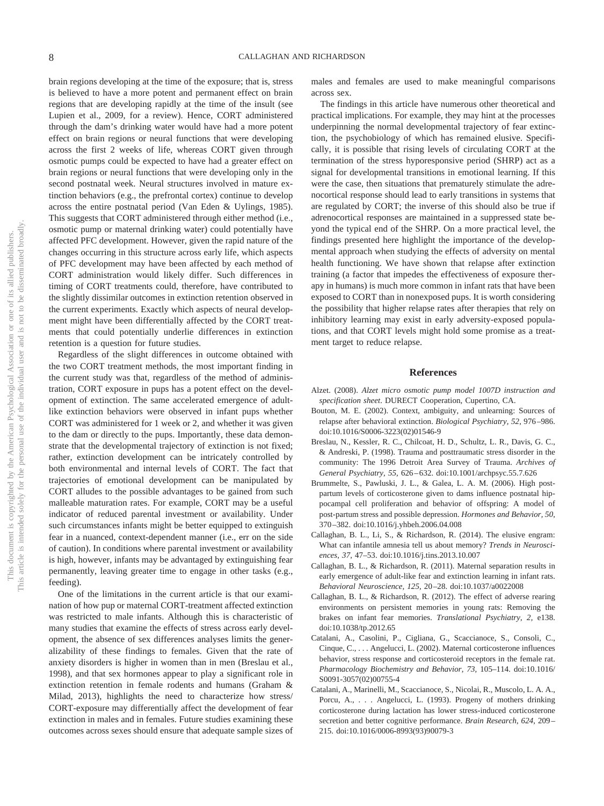brain regions developing at the time of the exposure; that is, stress is believed to have a more potent and permanent effect on brain regions that are developing rapidly at the time of the insult (see Lupien et al., 2009, for a review). Hence, CORT administered through the dam's drinking water would have had a more potent effect on brain regions or neural functions that were developing across the first 2 weeks of life, whereas CORT given through osmotic pumps could be expected to have had a greater effect on brain regions or neural functions that were developing only in the second postnatal week. Neural structures involved in mature extinction behaviors (e.g., the prefrontal cortex) continue to develop across the entire postnatal period (Van Eden & Uylings, 1985). This suggests that CORT administered through either method (i.e., osmotic pump or maternal drinking water) could potentially have affected PFC development. However, given the rapid nature of the changes occurring in this structure across early life, which aspects of PFC development may have been affected by each method of CORT administration would likely differ. Such differences in timing of CORT treatments could, therefore, have contributed to the slightly dissimilar outcomes in extinction retention observed in the current experiments. Exactly which aspects of neural development might have been differentially affected by the CORT treatments that could potentially underlie differences in extinction retention is a question for future studies.

Regardless of the slight differences in outcome obtained with the two CORT treatment methods, the most important finding in the current study was that, regardless of the method of administration, CORT exposure in pups has a potent effect on the development of extinction. The same accelerated emergence of adultlike extinction behaviors were observed in infant pups whether CORT was administered for 1 week or 2, and whether it was given to the dam or directly to the pups. Importantly, these data demonstrate that the developmental trajectory of extinction is not fixed; rather, extinction development can be intricately controlled by both environmental and internal levels of CORT. The fact that trajectories of emotional development can be manipulated by CORT alludes to the possible advantages to be gained from such malleable maturation rates. For example, CORT may be a useful indicator of reduced parental investment or availability. Under such circumstances infants might be better equipped to extinguish fear in a nuanced, context-dependent manner (i.e., err on the side of caution). In conditions where parental investment or availability is high, however, infants may be advantaged by extinguishing fear permanently, leaving greater time to engage in other tasks (e.g., feeding).

One of the limitations in the current article is that our examination of how pup or maternal CORT-treatment affected extinction was restricted to male infants. Although this is characteristic of many studies that examine the effects of stress across early development, the absence of sex differences analyses limits the generalizability of these findings to females. Given that the rate of anxiety disorders is higher in women than in men (Breslau et al., 1998), and that sex hormones appear to play a significant role in extinction retention in female rodents and humans (Graham & Milad, 2013), highlights the need to characterize how stress/ CORT-exposure may differentially affect the development of fear extinction in males and in females. Future studies examining these outcomes across sexes should ensure that adequate sample sizes of males and females are used to make meaningful comparisons across sex.

The findings in this article have numerous other theoretical and practical implications. For example, they may hint at the processes underpinning the normal developmental trajectory of fear extinction, the psychobiology of which has remained elusive. Specifically, it is possible that rising levels of circulating CORT at the termination of the stress hyporesponsive period (SHRP) act as a signal for developmental transitions in emotional learning. If this were the case, then situations that prematurely stimulate the adrenocortical response should lead to early transitions in systems that are regulated by CORT; the inverse of this should also be true if adrenocortical responses are maintained in a suppressed state beyond the typical end of the SHRP. On a more practical level, the findings presented here highlight the importance of the developmental approach when studying the effects of adversity on mental health functioning. We have shown that relapse after extinction training (a factor that impedes the effectiveness of exposure therapy in humans) is much more common in infant rats that have been exposed to CORT than in nonexposed pups. It is worth considering the possibility that higher relapse rates after therapies that rely on inhibitory learning may exist in early adversity-exposed populations, and that CORT levels might hold some promise as a treatment target to reduce relapse.

#### **References**

- Alzet. (2008). *Alzet micro osmotic pump model 1007D instruction and specification sheet*. DURECT Cooperation, Cupertino, CA.
- Bouton, M. E. (2002). Context, ambiguity, and unlearning: Sources of relapse after behavioral extinction. *Biological Psychiatry, 52,* 976 –986. doi:10.1016/S0006-3223(02)01546-9
- Breslau, N., Kessler, R. C., Chilcoat, H. D., Schultz, L. R., Davis, G. C., & Andreski, P. (1998). Trauma and posttraumatic stress disorder in the community: The 1996 Detroit Area Survey of Trauma. *Archives of General Psychiatry, 55,* 626 – 632. doi:10.1001/archpsyc.55.7.626
- Brummelte, S., Pawluski, J. L., & Galea, L. A. M. (2006). High postpartum levels of corticosterone given to dams influence postnatal hippocampal cell proliferation and behavior of offspring: A model of post-partum stress and possible depression. *Hormones and Behavior, 50,* 370 –382. doi:10.1016/j.yhbeh.2006.04.008
- Callaghan, B. L., Li, S., & Richardson, R. (2014). The elusive engram: What can infantile amnesia tell us about memory? *Trends in Neurosciences, 37,* 47–53. doi:10.1016/j.tins.2013.10.007
- Callaghan, B. L., & Richardson, R. (2011). Maternal separation results in early emergence of adult-like fear and extinction learning in infant rats. *Behavioral Neuroscience, 125,* 20 –28. doi:10.1037/a0022008
- Callaghan, B. L., & Richardson, R. (2012). The effect of adverse rearing environments on persistent memories in young rats: Removing the brakes on infant fear memories. *Translational Psychiatry, 2,* e138. doi:10.1038/tp.2012.65
- Catalani, A., Casolini, P., Cigliana, G., Scaccianoce, S., Consoli, C., Cinque, C.,... Angelucci, L. (2002). Maternal corticosterone influences behavior, stress response and corticosteroid receptors in the female rat. *Pharmacology Biochemistry and Behavior, 73,* 105–114. doi:10.1016/ S0091-3057(02)00755-4
- Catalani, A., Marinelli, M., Scaccianoce, S., Nicolai, R., Muscolo, L. A. A., Porcu, A., ... Angelucci, L. (1993). Progeny of mothers drinking corticosterone during lactation has lower stress-induced corticosterone secretion and better cognitive performance. *Brain Research, 624,* 209 – 215. doi:10.1016/0006-8993(93)90079-3